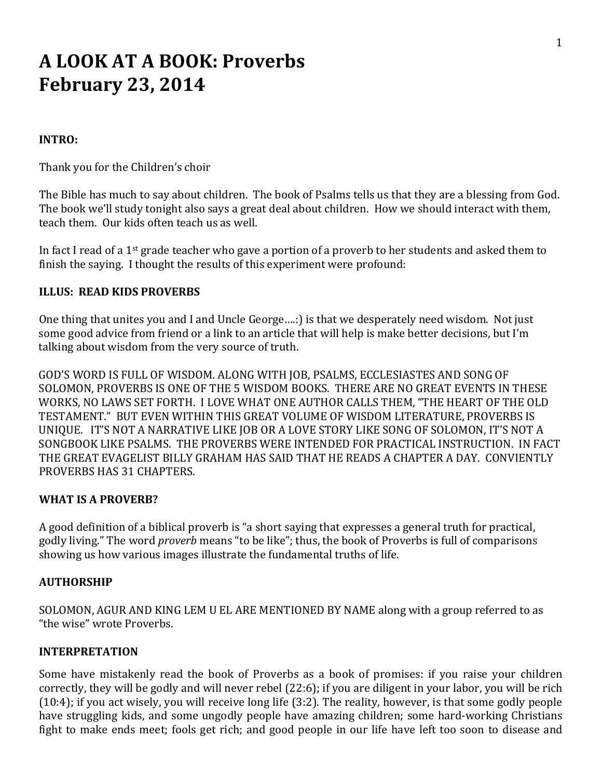# **A LOOK AT A BOOK: Proverbs February 23, 2014**

#### **INTRO:**

Thank you for the Children's choir

The Bible has much to say about children. The book of Psalms tells us that they are a blessing from God. The book we'll study tonight also says a great deal about children. How we should interact with them, teach them. Our kids often teach us as well.

In fact I read of a 1<sup>st</sup> grade teacher who gave a portion of a proverb to her students and asked them to finish the saying. I thought the results of this experiment were profound:

#### **ILLUS: READ KIDS PROVERBS**

One thing that unites you and I and Uncle George….:) is that we desperately need wisdom. Not just some good advice from friend or a link to an article that will help is make better decisions, but I'm talking about wisdom from the very source of truth.

GOD'S WORD IS FULL OF WISDOM. ALONG WITH JOB, PSALMS, ECCLESIASTES AND SONG OF SOLOMON, PROVERBS IS ONE OF THE 5 WISDOM BOOKS. THERE ARE NO GREAT EVENTS IN THESE WORKS, NO LAWS SET FORTH. I LOVE WHAT ONE AUTHOR CALLS THEM, "THE HEART OF THE OLD TESTAMENT." BUT EVEN WITHIN THIS GREAT VOLUME OF WISDOM LITERATURE, PROVERBS IS UNIQUE. IT'S NOT A NARRATIVE LIKE JOB OR A LOVE STORY LIKE SONG OF SOLOMON, IT'S NOT A SONGBOOK LIKE PSALMS. THE PROVERBS WERE INTENDED FOR PRACTICAL INSTRUCTION. IN FACT THE GREAT EVAGELIST BILLY GRAHAM HAS SAID THAT HE READS A CHAPTER A DAY. CONVIENTLY ROVERBS HAS 31 CHAPTERS. P

#### **WHAT IS A PROVERB?**

A good definition of a biblical proverb is "a short saying that expresses a general truth for practical, godly living." The word *proverb* means "to be like"; thus, the book of Proverbs is full of comparisons showing us how various images illustrate the fundamental truths of life.

#### **AUTHORSHIP**

SOLOMON, AGUR AND KING LEM U EL ARE MENTIONED BY NAME along with a group referred to as "the wise" wrote Proverbs.

#### **INTERPRETATION**

Some have mistakenly read the book of Proverbs as a book of promises: if you raise your children correctly, they will be godly and will never rebel (22:6); if you are diligent in your labor, you will be rich (10:4); if you act wisely, you will receive long life (3:2). The reality, however, is that some godly people have struggling kids, and some ungodly people have amazing children; some hard-working Christians fight to make ends meet; fools get rich; and good people in our life have left too soon to disease and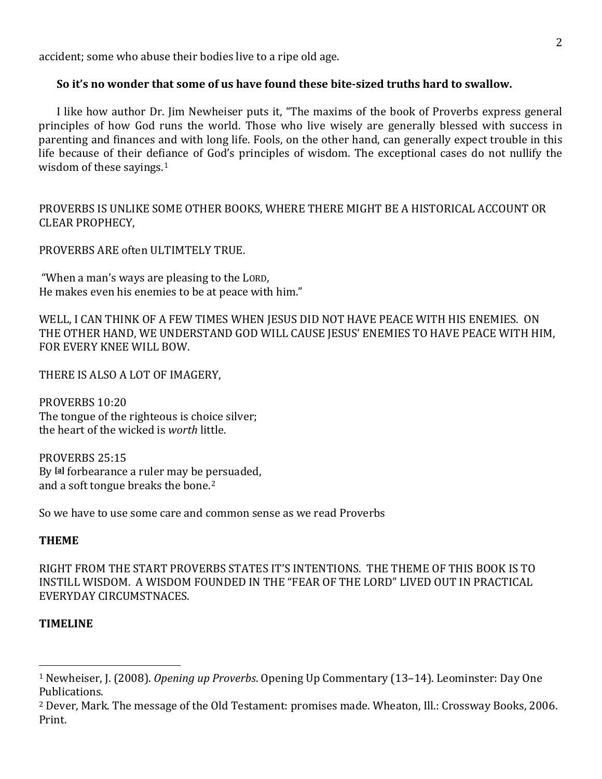accident; some who abuse their bodies live to a ripe old age.

## **So it's no wonder that some of us have found these bitesized truths hard to swallow.**

I like how author Dr. Jim Newheiser puts it, "The maxims of the book of Proverbs express general principles of how God runs the world. Those who live wisely are generally blessed with success in parenting and finances and with long life. Fools, on the other hand, can generally expect trouble in this life because of their def[ia](#page-1-0)nce of God's principles of wisdom. The exceptional cases do not nullify the wisdom of these sayings. $1$ 

PROVERBS IS UNLIKE SOME OTHER BOOKS, WHERE THERE MIGHT BE A HISTORICAL ACCOUNT OR CLEAR PROPHECY,

PROVERBS ARE often ULTIMTELY TRUE.

"When a man's ways are pleasing to the LORD, He makes even his enemies to be at peace with him."

WELL, I CAN THINK OF A FEW TIMES WHEN JESUS DID NOT HAVE PEACE WITH HIS ENEMIES. ON THE OTHER HAND, WE UNDERSTAND GOD WILL CAUSE JESUS' ENEMIES TO HAVE PEACE WITH HIM, FOR EVERY KNEE WILL BOW.

THERE IS ALSO A LOT OF IMAGERY,

PROVERBS 10:20 The tongue of the righteous is choice silver; the heart of the wicked is *worth* little.

PROVERBS 25:15 By **[[a\]](http://www.biblegateway.com/passage/?search=THERE+IS+ALSO+A+LOT+OF+IMAGERY%2C+PROVERBS+25%3A15+&version=NASB#fen-NASB-17129a)** forbearance a ruler may be persuaded, and a soft tongue breaks the bone.2

So we have to use some care and common sense as we read Proverbs

#### **THEME**

RIGHT FROM THE START PROVERBS STATES IT'S INTENTIONS. THE THEME OF THIS BOOK IS TO INSTILL WISDOM. A WISDOM FOUNDED IN THE "FEAR OF THE LORD" LIVED OUT IN PRACTICAL EVERYDAY CIRCUMSTNACES.

#### **TIMELINE**

<span id="page-1-0"></span><sup>1</sup> Newheiser, J. (2008). *Opening up Proverbs*. Opening Up Commentary (13–14). Leominster: Day One Publications.

<sup>&</sup>lt;sup>2</sup> Dever, Mark. The message of the Old Testament: promises made. Wheaton, Ill.: Crossway Books, 2006. Print.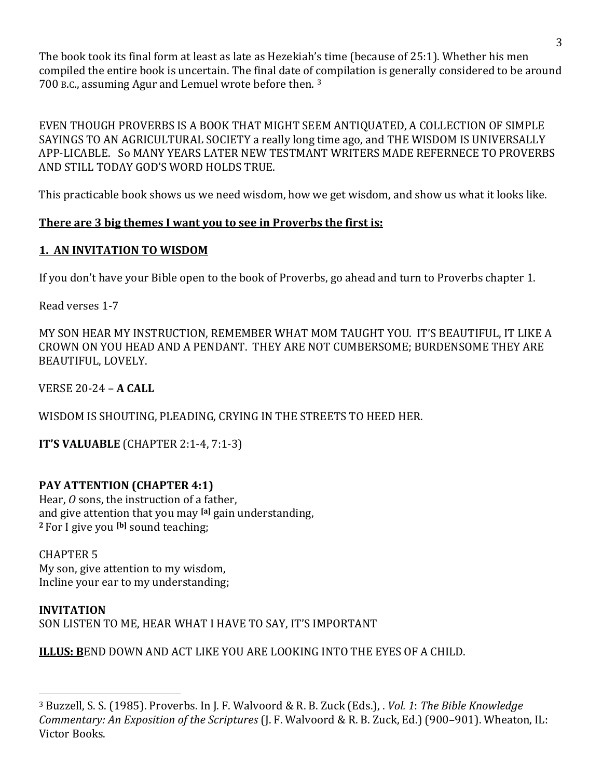The book took its final form at least as late as Hezekiah's time (because of 25:1). Whether his men ompiled the entire book is uncertain. The final date of [co](#page-2-0)mpilation is generally considered to be around c 700 B.C., assuming Agur and Lemuel wrote before then. 3

EVEN THOUGH PROVERBS IS A BOOK THAT MIGHT SEEM ANTIQUATED, A COLLECTION OF SIMPLE SAYINGS TO AN AGRICULTURAL SOCIETY a really long time ago, and THE WISDOM IS UNIVERSALLY APP‐LICABLE. So MANY YEARS LATER NEW TESTMANT WRITERS MADE REFERNECE TO PROVERBS AND STILL TODAY GOD'S WORD HOLDS TRUE.

This practicable book shows us we need wisdom, how we get wisdom, and show us what it looks like.

# **There are 3 big themes I want you to see in Proverbs the first is:**

# **1. AN INVITATION TO WISDOM**

If you don't have your Bible open to the book of Proverbs, go ahead and turn to Proverbs chapter 1.

Read verses 1‐7

MY SON HEAR MY INSTRUCTION, REMEMBER WHAT MOM TAUGHT YOU. IT'S BEAUTIFUL, IT LIKE A CROWN ON YOU HEAD AND A PENDANT. THEY ARE NOT CUMBERSOME; BURDENSOME THEY ARE BEAUTIFUL, LOVELY.

VERSE 20‐24 – **A CALL**

WISDOM IS SHOUTING, PLEADING, CRYING IN THE STREETS TO HEED HER.

**IT'S VALUABLE** (CHAPTER 2:1‐4, 7:1‐3)

# **PAY ATTENTION (CHAPTER 4:1)**

Hear, *O* sons, the instruction of a father, and give attention that you may **[\[a\]](http://www.biblegateway.com/passage/?search=PROV+4&version=NASB#fen-NASB-16492a)** gain understanding, <sup>2</sup> For I give you <sup>[\[b](http://www.biblegateway.com/passage/?search=PROV+4&version=NASB#fen-NASB-16493b)]</sup> sound teaching;

# CHAPTER 5

My son, give attention to my wisdom, Incline your ear to my understanding;

# **NVITATION I**

SON LISTEN TO ME, HEAR WHAT I HAVE TO SAY, IT'S IMPORTANT

**ILLUS: B**END DOWN AND ACT LIKE YOU ARE LOOKING INTO THE EYES OF A CHILD.

<span id="page-2-0"></span><sup>3</sup> Buzzell, S. S. (1985). Proverbs. In J. F. Walvoord & R. B. Zuck (Eds.), . *Vol. 1*: *The Bible Knowledge Commentary: An Exposition of the Scriptures* (J. F. Walvoord & R. B. Zuck, Ed.) (900–901). Wheaton, IL: Victor Books.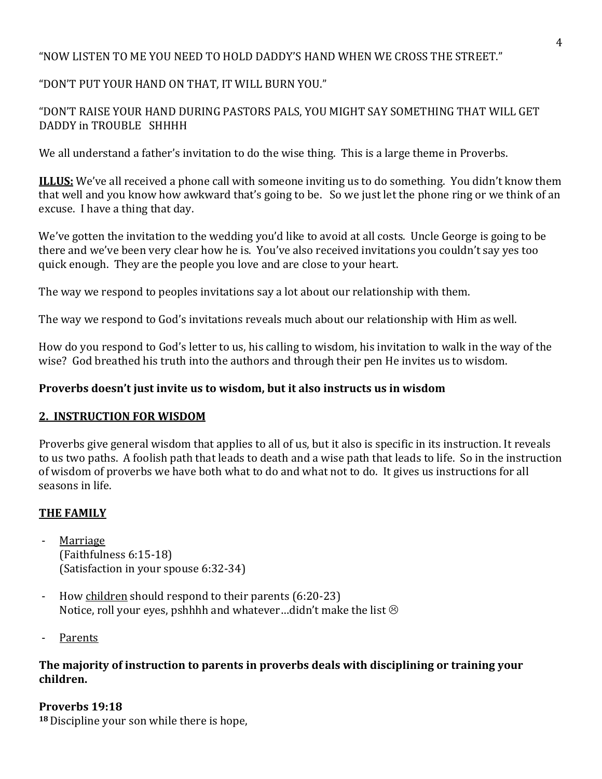# "NOW LISTEN TO ME YOU NEED TO HOLD DADDY'S HAND WHEN WE CROSS THE STREET."

# "DON'T PUT YOUR HAND ON THAT, IT WILL BURN YOU."

# "DON'T RAISE YOUR HAND DURING PASTORS PALS, YOU MIGHT SAY SOMETHING THAT WILL GET DADDY in TROUBLE SHHHH

We all understand a father's invitation to do the wise thing. This is a large theme in Proverbs.

**ILLUS:** We've all received a phone call with someone inviting us to do something. You didn't know them that well and you know how awkward that's going to be. So we just let the phone ring or we think of an excuse. I have a thing that day.

We've gotten the invitation to the wedding you'd like to avoid at all costs. Uncle George is going to be there and we've been very clear how he is. You've also received invitations you couldn't say yes too quick enough. They are the people you love and are close to your heart.

The way we respond to peoples invitations say a lot about our relationship with them.

The way we respond to God's invitations reveals much about our relationship with Him as well.

How do you respond to God's letter to us, his calling to wisdom, his invitation to walk in the way of the wise? God breathed his truth into the authors and through their pen He invites us to wisdom.

# **Proverbs doesn't just invite us to wisdom, but it also instructs us in wisdom**

# **2. INSTRUCTION FOR WISDOM**

Proverbs give general wisdom that applies to all of us, but it also is specific in its instruction. It reveals to us two paths. A foolish path that leads to death and a wise path that leads to life. So in the instruction of wisdom of proverbs we have both what to do and what not to do. It gives us instructions for all seasons in life.

# **THE FAMILY**

- ‐ Marriage (Faithfulness 6:15‐18) (Satisfaction in your spouse 6:32‐34)
- How children should respond to their parents (6:20-23) Notice, roll your eyes, pshhhh and whatever...didn't make the list  $\odot$
- ‐ Parents

## **The majority of instruction to parents in proverbs deals with disciplining or training your children.**

# **Proverbs 19:18**

**18**Discipline your son while there is hope,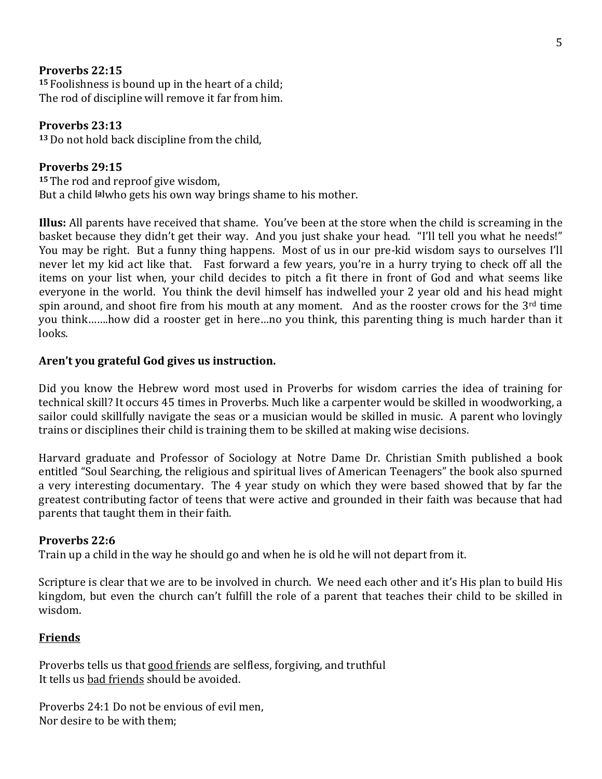#### **Proverbs 22:15**

**<sup>15</sup>** Foolishness is bound up in the heart of a child; The rod of discipline will remove it far from him.

#### **Proverbs 23:13**

**<sup>13</sup>**Do not hold back discipline from the child,

#### **Proverbs 29:15**

**<sup>15</sup>**The rod and reproof give wisdom, But a child **[a]** who gets his own way brings shame to his mother.

**Illus:** All parents have received that shame. You've been at the store when the child is screaming in the basket because they didn't get their way. And you just shake your head. "I'll tell you what he needs!" You may be right. But a funny thing happens. Most of us in our pre‐kid wisdom says to ourselves I'll never let my kid act like that. Fast forward a few years, you're in a hurry trying to check off all the items on your list when, your child decides to pitch a fit there in front of God and what seems like everyone in the world. You think the devil himself has indwelled your 2 year old and his head might spin around, and shoot fire from his mouth at any moment. And as the rooster crows for the  $3<sup>rd</sup>$  time you think…….how did a rooster get in here…no you think, this parenting thing is much harder than it looks.

#### **Aren't you grateful God gives us instruction.**

Did you know the Hebrew word most used in Proverbs for wisdom carries the idea of training for technical skill? It occurs 45 times in Proverbs. Much like a carpenter would be skilled in woodworking, a sailor could skillfully navigate the seas or a musician would be skilled in music. A parent who lovingly trains or disciplines their child is training them to be skilled at making wise decisions.

Harvard graduate and Professor of Sociology at Notre Dame Dr. Christian Smith published a book entitled "Soul Searching, the religious and spiritual lives of American Teenagers" the book also spurned a very interesting documentary. The 4 year study on which they were based showed that by far the greatest contributing factor of teens that were active and grounded in their faith was because that had parents that taught them in their faith.

#### **Proverbs 22:6**

Train up a child in the way he should go and when he is old he will not depart from it.

Scripture is clear that we are to be involved in church. We need each other and it's His plan to build His kingdom, but even the church can't fulfill the role of a parent that teaches their child to be skilled in wisdom.

#### **Friends**

Proverbs tells us that good friends are selfless, forgiving, and truthful It tells us bad friends should be avoided.

Proverbs 24:1 Do not be envious of evil men, Nor desire to be with them;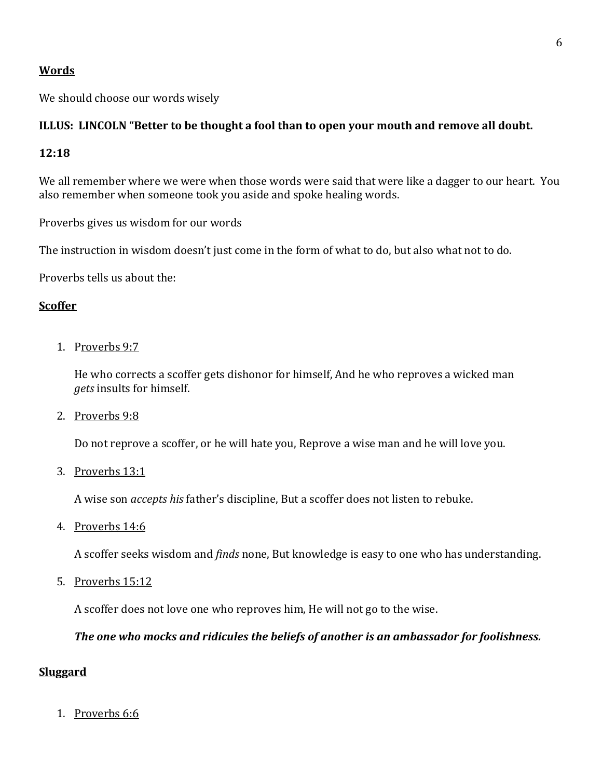## **Words**

We should choose our words wisely

# ILLUS: LINCOLN "Better to be thought a fool than to open your mouth and remove all doubt.

## **12:18**

We all remember where we were when those words were said that were like a dagger to our heart. You also remember when someone took you aside and spoke healing words.

Proverbs gives us wisdom for our words

The instruction in wisdom doesn't just come in the form of what to do, but also what not to do.

Proverbs tells us about the:

# **Scoffer**

1. Proverbs 9:7

He who corrects a scoffer gets dishonor for himself, And he who reproves a wicked man *gets* insults for himself.

2. Proverbs 9:8

Do not reprove a scoffer, or he will hate you, Reprove a wise man and he will love you.

3. Proverbs 13:1

A wise son *accepts his* father's discipline, But a scoffer does not listen to rebuke.

4. Proverbs 14:6

A scoffer seeks wisdom and *finds* none, But knowledge is easy to one who has understanding.

5. Proverbs 15:12

A scoffer does not love one who reproves him, He will not go to the wise.

#### *The one who mocks and ridicules the beliefs of another is an ambassador for foolishness.*

#### **Sluggard**

1. P[roverbs 6:6](http://www.biblegateway.com/passage/?search=Proverbs+6:6&version=NASB)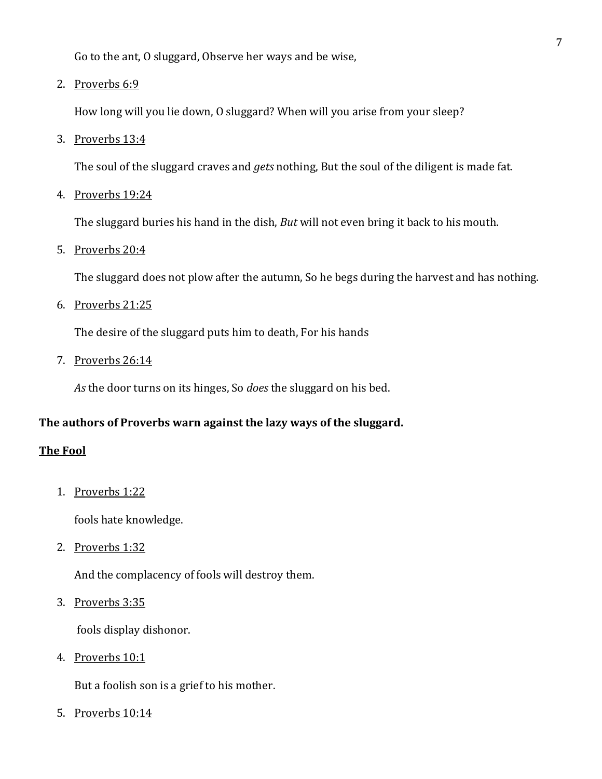Go to the ant, O sluggard, Observe her ways and be wise,

2. Proverbs 6:9

How long will you lie down, O sluggard? When will you arise from your sleep?

3. Proverbs 13:4

The soul of the sluggard craves and *gets* nothing, But the soul of the diligent is made fat.

4. Proverbs 19:24

The sluggard buries his hand in the dish, *But* will not even bring it back to his mouth.

5. Proverbs 20:4

The sluggard does not plow after the autumn, So he begs during the harvest and has nothing.

6. Proverbs 21:25

The desire of the sluggard puts him to death, For his hands

7. [Pr](http://www.biblegateway.com/passage/?search=Proverbs+26:14&version=NASB)overbs 26:14

*As* the door turns on its hinges, So *does* the sluggard on his bed.

#### **The authors of Proverbs warn against the lazy ways of the sluggard.**

#### **The Fool**

1. Proverbs 1:22

fools hate knowledge.

2. Proverbs 1:32

And the complacency of fools will destroy them.

3. Proverbs 3:35

fools display dishonor.

4. Proverbs 10:1

[But a foolish son](http://www.biblegateway.com/passage/?search=Proverbs+10:14&version=NASB) is a grief to his mother.

5. Proverbs 10:14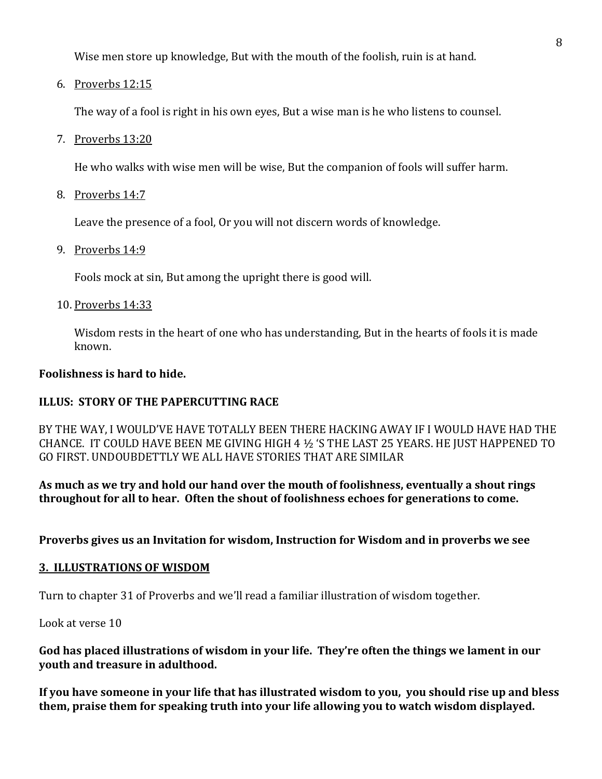Wise men store up knowledge, But with the mouth of the foolish, ruin is at hand.

6. Proverbs 12:15

The way of a fool is right in his own eyes, But a wise man is he who listens to counsel.

7. Proverbs 13:20

He who walks with wise men will be wise, But the companion of fools will suffer harm.

8. Proverbs 14:7

Leave the presence of a fool, Or you will not discern words of knowledge.

9. Proverbs 14:9

Fools mock at sin, But among the upright there is good will.

10. Proverbs 14:33

Wisdom rests in the heart of one who has understanding, But in the hearts of fools it is made known.

#### **Foolishness is hard to hide.**

# **ILLUS: STORY OF THE PAPERCUTTING RACE**

BY THE WAY, I WOULD'VE HAVE TOTALLY BEEN THERE HACKING AWAY IF I WOULD HAVE HAD THE CHANCE. IT COULD HAVE BEEN ME GIVING HIGH 4  $1/2$  'S THE LAST 25 YEARS. HE JUST HAPPENED TO GO FIRST. UNDOUBDETTLY WE ALL HAVE STORIES THAT ARE SIMILAR

**As much as we try and hold our hand over the mouth of foolishness, eventually a shout rings throughout for all to hear. Often the shout of foolishness echoes for generations to come.** 

**Proverbs gives us an Invitation for wisdom, Instruction for Wisdom and in proverbs we see**

#### **3. ILLUSTRATIONS OF WISDOM**

Turn to chapter 31 of Proverbs and we'll read a familiar illustration of wisdom together.

Look at verse 10

#### **God has placed illustrations of wisdom in your life. They're often the things we lament in our youth and treasure in adulthood.**

If you have someone in your life that has illustrated wisdom to you, you should rise up and bless **t hem, praise them for speaking truth into your life allowing you to watch wisdom displayed.**